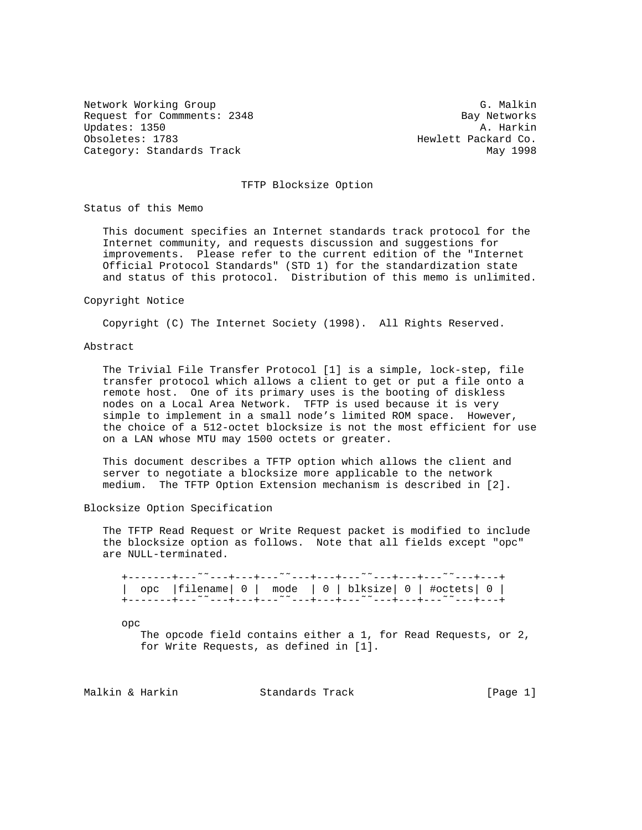Network Working Group G. Malkin G. Malkin Request for Commments: 2348 Bay Networks<br>Updates: 1350 A. Harkin Updates: 1350 Obsoletes: 1783 **Hewlett Packard Co.** Category: Standards Track May 1998

# TFTP Blocksize Option

Status of this Memo

 This document specifies an Internet standards track protocol for the Internet community, and requests discussion and suggestions for improvements. Please refer to the current edition of the "Internet Official Protocol Standards" (STD 1) for the standardization state and status of this protocol. Distribution of this memo is unlimited.

#### Copyright Notice

Copyright (C) The Internet Society (1998). All Rights Reserved.

## Abstract

 The Trivial File Transfer Protocol [1] is a simple, lock-step, file transfer protocol which allows a client to get or put a file onto a remote host. One of its primary uses is the booting of diskless nodes on a Local Area Network. TFTP is used because it is very simple to implement in a small node's limited ROM space. However, the choice of a 512-octet blocksize is not the most efficient for use on a LAN whose MTU may 1500 octets or greater.

 This document describes a TFTP option which allows the client and server to negotiate a blocksize more applicable to the network medium. The TFTP Option Extension mechanism is described in [2].

#### Blocksize Option Specification

 The TFTP Read Request or Write Request packet is modified to include the blocksize option as follows. Note that all fields except "opc" are NULL-terminated.

|  |  | opc   filename  0   mode   0   blksize  0   #octets  0 |
|--|--|--------------------------------------------------------|
|  |  |                                                        |
|  |  |                                                        |

opc

 The opcode field contains either a 1, for Read Requests, or 2, for Write Requests, as defined in [1].

Malkin & Harkin Standards Track [Page 1]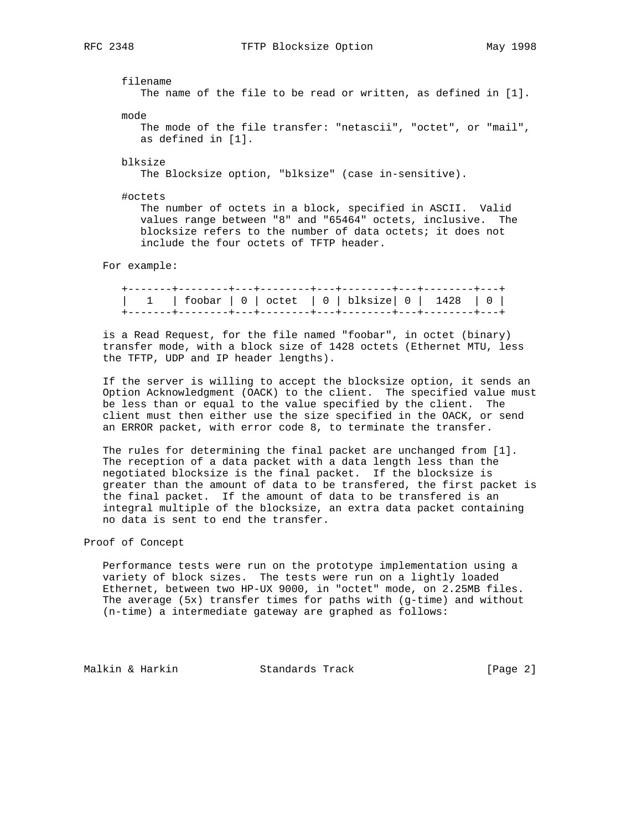filename The name of the file to be read or written, as defined in [1]. mode

 The mode of the file transfer: "netascii", "octet", or "mail", as defined in [1].

blksize

The Blocksize option, "blksize" (case in-sensitive).

#octets

 The number of octets in a block, specified in ASCII. Valid values range between "8" and "65464" octets, inclusive. The blocksize refers to the number of data octets; it does not include the four octets of TFTP header.

For example:

| 1   foobar   0   octet   0   blksize   0   1428   0 |  |  |  |  |
|-----------------------------------------------------|--|--|--|--|
|                                                     |  |  |  |  |

 is a Read Request, for the file named "foobar", in octet (binary) transfer mode, with a block size of 1428 octets (Ethernet MTU, less the TFTP, UDP and IP header lengths).

 If the server is willing to accept the blocksize option, it sends an Option Acknowledgment (OACK) to the client. The specified value must be less than or equal to the value specified by the client. The client must then either use the size specified in the OACK, or send an ERROR packet, with error code 8, to terminate the transfer.

 The rules for determining the final packet are unchanged from [1]. The reception of a data packet with a data length less than the negotiated blocksize is the final packet. If the blocksize is greater than the amount of data to be transfered, the first packet is the final packet. If the amount of data to be transfered is an integral multiple of the blocksize, an extra data packet containing no data is sent to end the transfer.

Proof of Concept

 Performance tests were run on the prototype implementation using a variety of block sizes. The tests were run on a lightly loaded Ethernet, between two HP-UX 9000, in "octet" mode, on 2.25MB files. The average (5x) transfer times for paths with (g-time) and without (n-time) a intermediate gateway are graphed as follows:

Malkin & Harkin Standards Track [Page 2]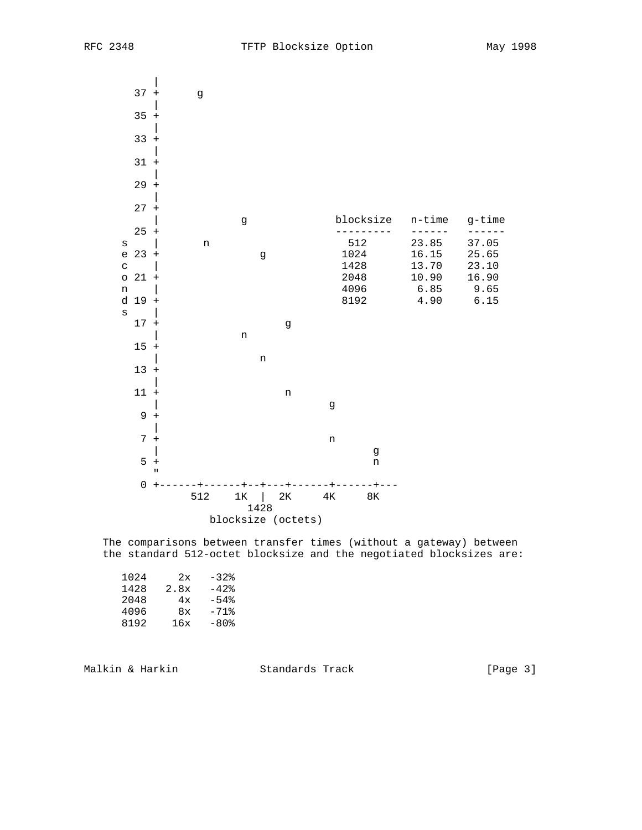

 The comparisons between transfer times (without a gateway) between the standard 512-octet blocksize and the negotiated blocksizes are:

| 1024 | 2x   | $-32$   |
|------|------|---------|
| 1428 | 2.8x | $-42$   |
| 2048 | 4x   | $-54%$  |
| 4096 | 8x   | $-71$ % |
| 8192 | 16x  | $-80$ % |
|      |      |         |

Malkin & Harkin Standards Track [Page 3]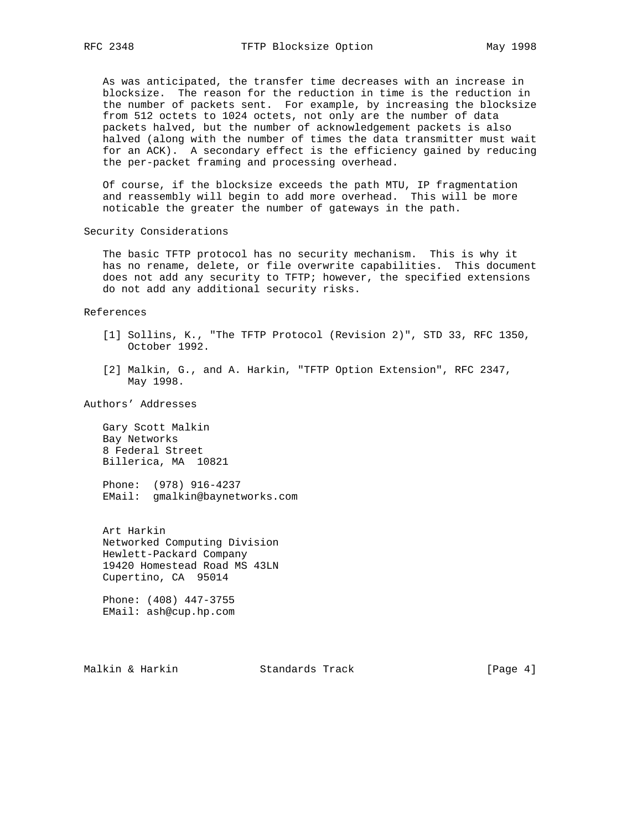As was anticipated, the transfer time decreases with an increase in blocksize. The reason for the reduction in time is the reduction in the number of packets sent. For example, by increasing the blocksize from 512 octets to 1024 octets, not only are the number of data packets halved, but the number of acknowledgement packets is also halved (along with the number of times the data transmitter must wait for an ACK). A secondary effect is the efficiency gained by reducing the per-packet framing and processing overhead.

 Of course, if the blocksize exceeds the path MTU, IP fragmentation and reassembly will begin to add more overhead. This will be more noticable the greater the number of gateways in the path.

Security Considerations

 The basic TFTP protocol has no security mechanism. This is why it has no rename, delete, or file overwrite capabilities. This document does not add any security to TFTP; however, the specified extensions do not add any additional security risks.

References

- [1] Sollins, K., "The TFTP Protocol (Revision 2)", STD 33, RFC 1350, October 1992.
- [2] Malkin, G., and A. Harkin, "TFTP Option Extension", RFC 2347, May 1998.

Authors' Addresses

 Gary Scott Malkin Bay Networks 8 Federal Street Billerica, MA 10821

 Phone: (978) 916-4237 EMail: gmalkin@baynetworks.com

 Art Harkin Networked Computing Division Hewlett-Packard Company 19420 Homestead Road MS 43LN Cupertino, CA 95014

 Phone: (408) 447-3755 EMail: ash@cup.hp.com

Malkin & Harkin Standards Track [Page 4]